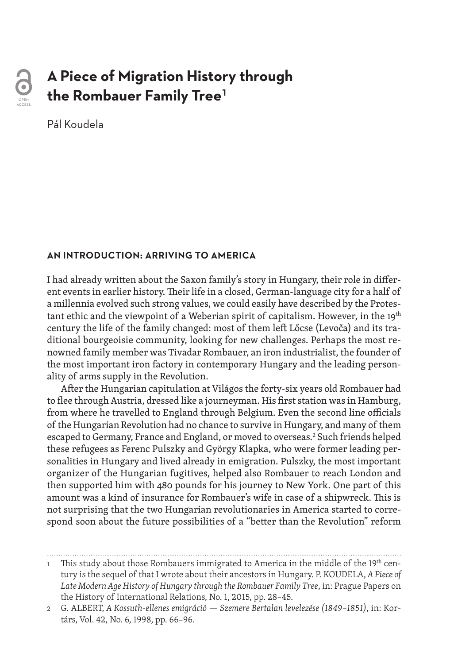

# **A Piece of Migration History through the Rombauer Family Tree1**

Pál Koudela

#### **AN INTRODUCTION: ARRIVING TO AMERICA**

I had already written about the Saxon family's story in Hungary, their role in different events in earlier history. Their life in a closed, German-language city for a half of a millennia evolved such strong values, we could easily have described by the Protestant ethic and the viewpoint of a Weberian spirit of capitalism. However, in the  $19<sup>th</sup>$ century the life of the family changed: most of them left Lőcse (Levoča) and its traditional bourgeoisie community, looking for new challenges. Perhaps the most renowned family member was Tivadar Rombauer, an iron industrialist, the founder of the most important iron factory in contemporary Hungary and the leading personality of arms supply in the Revolution.

After the Hungarian capitulation at Világos the forty-six years old Rombauer had to flee through Austria, dressed like a journeyman. His first station was in Hamburg, from where he travelled to England through Belgium. Even the second line officials of the Hungarian Revolution had no chance to survive in Hungary, and many of them escaped to Germany, France and England, or moved to overseas.2 Such friends helped these refugees as Ferenc Pulszky and György Klapka, who were former leading personalities in Hungary and lived already in emigration. Pulszky, the most important organizer of the Hungarian fugitives, helped also Rombauer to reach London and then supported him with 480 pounds for his journey to New York. One part of this amount was a kind of insurance for Rombauer's wife in case of a shipwreck. This is not surprising that the two Hungarian revolutionaries in America started to correspond soon about the future possibilities of a "better than the Revolution" reform

This study about those Rombauers immigrated to America in the middle of the 19<sup>th</sup> century is the sequel of that I wrote about their ancestors in Hungary. P. KOUDELA, *A Piece of Late Modern Age History of Hungary through the Rombauer Family Tree*, in: Prague Papers on the History of International Relations, No. 1, 2015, pp. 28–45.

<sup>2</sup> G. ALBERT, *A Kossuth-ellenes emigráció — Szemere Bertalan levelezése (1849–1851)*, in: Kortárs, Vol. 42, No. 6, 1998, pp. 66–96.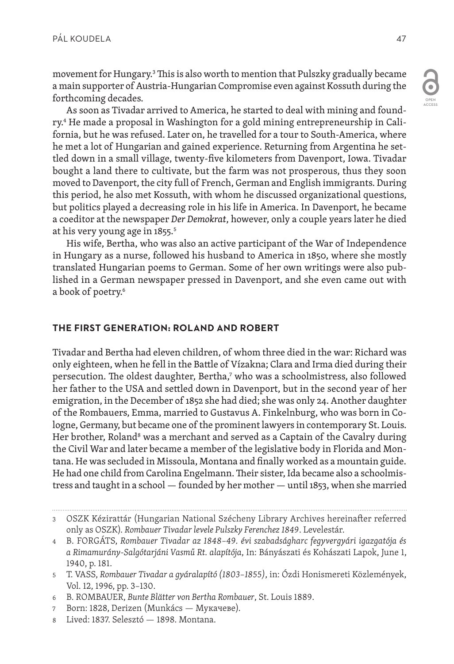movement for Hungary.3 This is also worth to mention that Pulszky gradually became a main supporter of Austria-Hungarian Compromise even against Kossuth during the forthcoming decades.

As soon as Tivadar arrived to America, he started to deal with mining and foundry.<del>ª</del> He made a proposal in Washington for a gold mining entrepreneurship in California, but he was refused. Later on, he travelled for a tour to South-America, where he met a lot of Hungarian and gained experience. Returning from Argentina he settled down in a small village, twenty-five kilometers from Davenport, Iowa. Tivadar bought a land there to cultivate, but the farm was not prosperous, thus they soon moved to Davenport, the city full of French, German and English immigrants. During this period, he also met Kossuth, with whom he discussed organizational questions, but politics played a decreasing role in his life in America. In Davenport, he became a coeditor at the newspaper *Der Demokrat*, however, only a couple years later he died at his very young age in 1855.<sup>5</sup>

His wife, Bertha, who was also an active participant of the War of Independence in Hungary as a nurse, followed his husband to America in 1850, where she mostly translated Hungarian poems to German. Some of her own writings were also published in a German newspaper pressed in Davenport, and she even came out with a book of poetry.<sup>6</sup>

## **THE FIRST GENERATION: ROLAND AND ROBERT**

Tivadar and Bertha had eleven children, of whom three died in the war: Richard was only eighteen, when he fell in the Battle of Vízakna; Clara and Irma died during their persecution. The oldest daughter, Bertha,<sup>7</sup> who was a schoolmistress, also followed her father to the USA and settled down in Davenport, but in the second year of her emigration, in the December of 1852 she had died; she was only 24. Another daughter of the Rombauers, Emma, married to Gustavus A. Finkelnburg, who was born in Cologne, Germany, but became one of the prominent lawyers in contemporary St. Louis. Her brother, Roland<sup>s</sup> was a merchant and served as a Captain of the Cavalry during the Civil War and later became a member of the legislative body in Florida and Montana. He was secluded in Missoula, Montana and finally worked as a mountain guide. He had one child from Carolina Engelmann. Their sister, Ida became also a schoolmistress and taught in a school — founded by her mother — until 1853, when she married

- 7 Born: 1828, Derizen (Munkács Мукачеве).
- 8 Lived: 1837. Selesztó 1898. Montana.

<sup>3</sup> OSZK Kézirattár (Hungarian National Szécheny Library Archives hereinafter referred only as OSZK). *Rombauer Tivadar levele Pulszky Ferenchez 1849*. Levelestár.

<sup>4</sup> B. FORGÁTS, *Rombauer Tivadar az 1848–49. évi szabadságharc fegyvergyári igazgatója és a Rimamurány-Salgótarjáni Vasmű Rt. alapítója*, In: Bányászati és Kohászati Lapok, June 1, 1940, p. 181.

<sup>5</sup> T. VASS, *Rombauer Tivadar a gyáralapító (1803–1855)*, in: Ózdi Honismereti Közlemények, Vol. 12, 1996, pp. 3–130.

<sup>6</sup> B. ROMBAUER, *Bunte Blätter von Bertha Rombauer*, St. Louis 1889.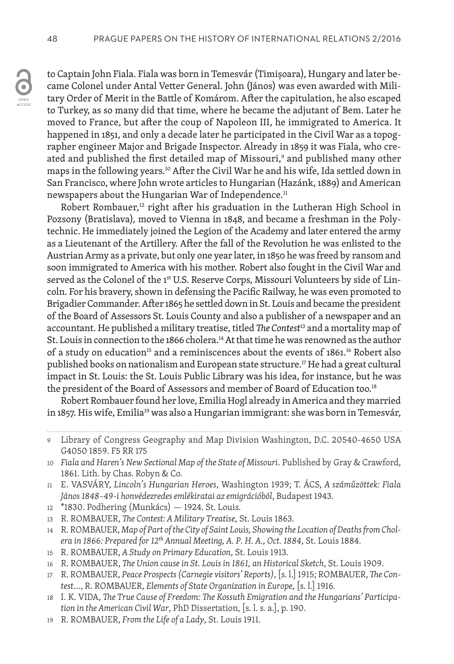to Captain John Fiala. Fiala was born in Temesvár (Timișoara), Hungary and later became Colonel under Antal Vetter General. John (János) was even awarded with Military Order of Merit in the Battle of Komárom. After the capitulation, he also escaped to Turkey, as so many did that time, where he became the adjutant of Bem. Later he moved to France, but after the coup of Napoleon III, he immigrated to America. It happened in 1851, and only a decade later he participated in the Civil War as a topographer engineer Major and Brigade Inspector. Already in 1859 it was Fiala, who created and published the first detailed map of Missouri, $^{\circ}$  and published many other maps in the following years.10 After the Civil War he and his wife, Ida settled down in San Francisco, where John wrote articles to Hungarian (Hazánk, 1889) and American newspapers about the Hungarian War of Independence.<sup>11</sup>

Robert Rombauer, $12$  right after his graduation in the Lutheran High School in Pozsony (Bratislava), moved to Vienna in 1848, and became a freshman in the Polytechnic. He immediately joined the Legion of the Academy and later entered the army as a Lieutenant of the Artillery. After the fall of the Revolution he was enlisted to the Austrian Army as a private, but only one year later, in 1850 he was freed by ransom and soon immigrated to America with his mother. Robert also fought in the Civil War and served as the Colonel of the 1<sup>st</sup> U.S. Reserve Corps, Missouri Volunteers by side of Lincoln. For his bravery, shown in defensing the Pacific Railway, he was even promoted to Brigadier Commander. After 1865 he settled down in St. Louis and became the president of the Board of Assessors St. Louis County and also a publisher of a newspaper and an accountant. He published a military treatise, titled *The Contest*13 and a mortality map of St. Louis in connection to the 1866 cholera.<sup>14</sup> At that time he was renowned as the author of a study on education<sup>15</sup> and a reminiscences about the events of 1861.<sup>16</sup> Robert also published books on nationalism and European state structure.<sup>17</sup> He had a great cultural impact in St. Louis: the St. Louis Public Library was his idea, for instance, but he was the president of the Board of Assessors and member of Board of Education too.<sup>18</sup>

Robert Rombauer found her love, Emilia Hogl already in America and they married in 1857. His wife, Emilia<sup>19</sup> was also a Hungarian immigrant: she was born in Temesvár,

- 12 \*1830. Podhering (Munkács) 1924. St. Louis.
- 13 R. ROMBAUER, *The Contest: A Military Treatise*, St. Louis 1863.
- 14 R. ROMBAUER, *Map of Part of the City of Saint Louis, Showing the Location of Deaths from Cholera in 1866: Prepared for 12th Annual Meeting, A. P. H. A., Oct. 1884*, St. Louis 1884.
- 15 R. ROMBAUER, *A Study on Primary Education*, St. Louis 1913.
- 16 R. ROMBAUER, *The Union cause in St. Louis in 1861, an Historical Sketch*, St. Louis 1909.
- 17 R. ROMBAUER, *Peace Prospects (Carnegie visitors' Reports)*, [s. l.] 1915; ROMBAUER, *The Contest*…, R. ROMBAUER, *Elements of State Organization in Europe*, [s. l.] 1916.
- 18 I. K. VIDA, *The True Cause of Freedom: The Kossuth Emigration and the Hungarians' Participation in the American Civil War*, PhD Dissertation, [s. l. s. a.], p. 190.
- 19 R. ROMBAUER, *From the Life of a Lady*, St. Louis 1911.

<sup>9</sup> Library of Congress Geography and Map Division Washington, D.C. 20540-4650 USA G4050 1859. F5 RR 175

<sup>10</sup> *Fiala and Haren's New Sectional Map of the State of Missouri*. Published by Gray & Crawford, 1861. Lith. by Chas. Robyn & Co.

<sup>11</sup> E. VASVÁRY, *Lincoln's Hungarian Heroes*, Washington 1939; T. ÁCS, *A száműzöttek: Fiala János1848–49-i honvédezredesemlékiratai az emigrációból*, Budapest 1943.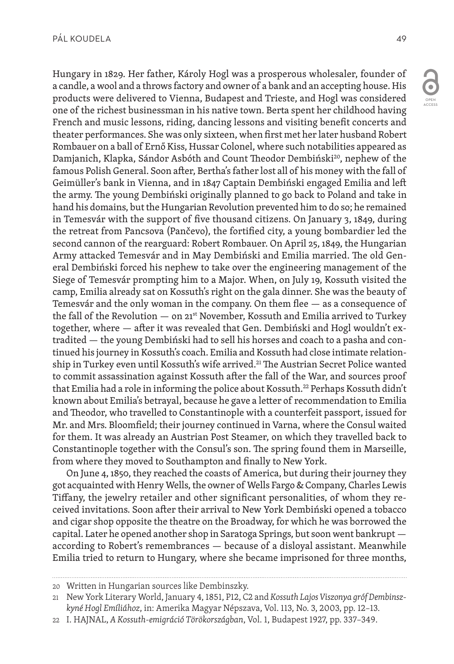

OPEN ACCESS

Hungary in 1829. Her father, Károly Hogl was a prosperous wholesaler, founder of a candle, a wool and a throws factory and owner of a bank and an accepting house. His products were delivered to Vienna, Budapest and Trieste, and Hogl was considered one of the richest businessman in his native town. Berta spent her childhood having French and music lessons, riding, dancing lessons and visiting benefit concerts and theater performances. She was only sixteen, when first met her later husband Robert Rombauer on a ball of Ernő Kiss, Hussar Colonel, where such notabilities appeared as Damjanich, Klapka, Sándor Asbóth and Count Theodor Dembiński<sup>20</sup>, nephew of the famous Polish General. Soon after, Bertha's father lost all of his money with the fall of Geimüller's bank in Vienna, and in 1847 Captain Dembiński engaged Emilia and left the army. The young Dembiński originally planned to go back to Poland and take in hand his domains, but the Hungarian Revolution prevented him to do so; he remained in Temesvár with the support of five thousand citizens. On January 3, 1849, during the retreat from Pancsova (Pančevo), the fortified city, a young bombardier led the second cannon of the rearguard: Robert Rombauer. On April 25, 1849, the Hungarian Army attacked Temesvár and in May Dembiński and Emilia married. The old General Dembiński forced his nephew to take over the engineering management of the Siege of Temesvár prompting him to a Major. When, on July 19, Kossuth visited the camp, Emilia already sat on Kossuth's right on the gala dinner. She was the beauty of Temesvár and the only woman in the company. On them flee — as a consequence of the fall of the Revolution  $-$  on  $21^{st}$  November, Kossuth and Emilia arrived to Turkey together, where — after it was revealed that Gen. Dembiński and Hogl wouldn't extradited — the young Dembiński had to sell his horses and coach to a pasha and continued his journey in Kossuth's coach. Emilia and Kossuth had close intimate relationship in Turkey even until Kossuth's wife arrived.<sup>21</sup> The Austrian Secret Police wanted to commit assassination against Kossuth after the fall of the War, and sources proof that Emilia had a role in informing the police about Kossuth.22 Perhaps Kossuth didn't known about Emilia's betrayal, because he gave a letter of recommendation to Emilia and Theodor, who travelled to Constantinople with a counterfeit passport, issued for Mr. and Mrs. Bloomfield; their journey continued in Varna, where the Consul waited for them. It was already an Austrian Post Steamer, on which they travelled back to Constantinople together with the Consul's son. The spring found them in Marseille, from where they moved to Southampton and finally to New York.

On June 4, 1850, they reached the coasts of America, but during their journey they got acquainted with Henry Wells, the owner of Wells Fargo & Company, Charles Lewis Tiffany, the jewelry retailer and other significant personalities, of whom they received invitations. Soon after their arrival to New York Dembiński opened a tobacco and cigar shop opposite the theatre on the Broadway, for which he was borrowed the capital. Later he opened another shop in Saratoga Springs, but soon went bankrupt according to Robert's remembrances — because of a disloyal assistant. Meanwhile Emilia tried to return to Hungary, where she became imprisoned for three months,

<sup>20</sup> Written in Hungarian sources like Dembinszky.

<sup>21</sup> New York Literary World, January 4, 1851, P12, C2 and *Kossuth Lajos Viszonya gróf Dembinszkyné Hogl Emíliához*, in: Amerika Magyar Népszava, Vol. 113, No. 3, 2003, pp. 12–13.

<sup>22</sup> I. HAJNAL, *A Kossuth-emigráció Törökországban*, Vol. 1, Budapest 1927, pp. 337–349.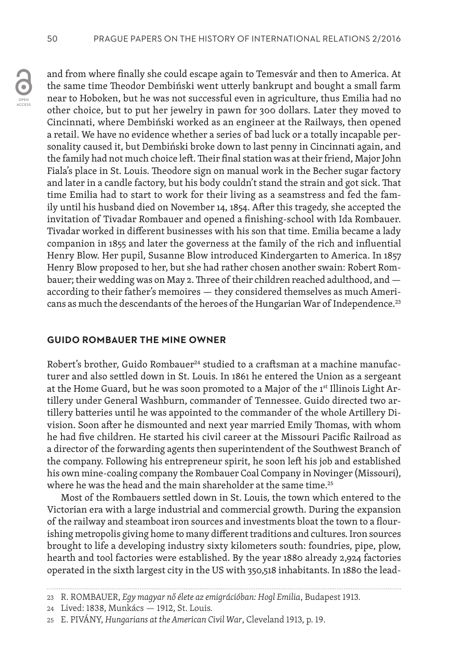and from where finally she could escape again to Temesvár and then to America. At the same time Theodor Dembiński went utterly bankrupt and bought a small farm near to Hoboken, but he was not successful even in agriculture, thus Emilia had no other choice, but to put her jewelry in pawn for 300 dollars. Later they moved to Cincinnati, where Dembiński worked as an engineer at the Railways, then opened a retail. We have no evidence whether a series of bad luck or a totally incapable personality caused it, but Dembiński broke down to last penny in Cincinnati again, and the family had not much choice left. Their final station was at their friend, Major John Fiala's place in St. Louis. Theodore sign on manual work in the Becher sugar factory and later in a candle factory, but his body couldn't stand the strain and got sick. That time Emilia had to start to work for their living as a seamstress and fed the family until his husband died on November 14, 1854. After this tragedy, she accepted the invitation of Tivadar Rombauer and opened a finishing-school with Ida Rombauer. Tivadar worked in different businesses with his son that time. Emilia became a lady companion in 1855 and later the governess at the family of the rich and influential Henry Blow. Her pupil, Susanne Blow introduced Kindergarten to America. In 1857 Henry Blow proposed to her, but she had rather chosen another swain: Robert Rombauer; their wedding was on May 2. Three of their children reached adulthood, and according to their father's memoires — they considered themselves as much Americans as much the descendants of the heroes of the Hungarian War of Independence.<sup>23</sup>

#### **GUIDO ROMBAUER THE MINE OWNER**

Robert's brother, Guido Rombauer<sup>24</sup> studied to a craftsman at a machine manufacturer and also settled down in St. Louis. In 1861 he entered the Union as a sergeant at the Home Guard, but he was soon promoted to a Major of the 1st Illinois Light Artillery under General Washburn, commander of Tennessee. Guido directed two artillery batteries until he was appointed to the commander of the whole Artillery Division. Soon after he dismounted and next year married Emily Thomas, with whom he had five children. He started his civil career at the Missouri Pacific Railroad as a director of the forwarding agents then superintendent of the Southwest Branch of the company. Following his entrepreneur spirit, he soon left his job and established his own mine-coaling company the Rombauer Coal Company in Novinger (Missouri), where he was the head and the main shareholder at the same time.<sup>25</sup>

Most of the Rombauers settled down in St. Louis, the town which entered to the Victorian era with a large industrial and commercial growth. During the expansion of the railway and steamboat iron sources and investments bloat the town to a flourishing metropolis giving home to many different traditions and cultures. Iron sources brought to life a developing industry sixty kilometers south: foundries, pipe, plow, hearth and tool factories were established. By the year 1880 already 2,924 factories operated in the sixth largest city in the US with 350,518 inhabitants. In 1880 the lead-

<sup>23</sup> R. ROMBAUER, *Egy magyar nő élete az emigrációban: Hogl Emilia*, Budapest 1913.

<sup>24</sup> Lived: 1838, Munkács — 1912, St. Louis.

<sup>25</sup> E. PIVÁNY, *Hungarians at the American Civil War*, Cleveland 1913, p. 19.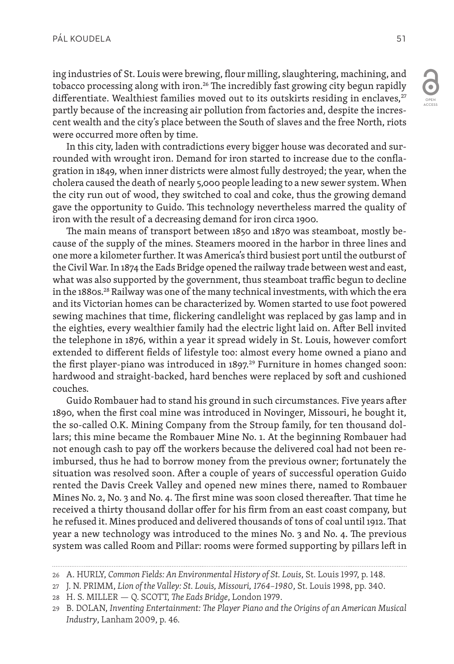ing industries of St. Louis were brewing, flour milling, slaughtering, machining, and tobacco processing along with iron.<sup>26</sup> The incredibly fast growing city begun rapidly differentiate. Wealthiest families moved out to its outskirts residing in enclaves, $27$ partly because of the increasing air pollution from factories and, despite the increscent wealth and the city's place between the South of slaves and the free North, riots were occurred more often by time.

In this city, laden with contradictions every bigger house was decorated and surrounded with wrought iron. Demand for iron started to increase due to the conflagration in 1849, when inner districts were almost fully destroyed; the year, when the cholera caused the death of nearly 5,000 people leading to a new sewer system. When the city run out of wood, they switched to coal and coke, thus the growing demand gave the opportunity to Guido. This technology nevertheless marred the quality of iron with the result of a decreasing demand for iron circa 1900.

The main means of transport between 1850 and 1870 was steamboat, mostly because of the supply of the mines. Steamers moored in the harbor in three lines and one more a kilometer further. It was America's third busiest port until the outburst of the Civil War. In 1874 the Eads Bridge opened the railway trade between west and east, what was also supported by the government, thus steamboat traffic begun to decline in the 1880s.28 Railway was one of the many technical investments, with which the era and its Victorian homes can be characterized by. Women started to use foot powered sewing machines that time, flickering candlelight was replaced by gas lamp and in the eighties, every wealthier family had the electric light laid on. After Bell invited the telephone in 1876, within a year it spread widely in St. Louis, however comfort extended to different fields of lifestyle too: almost every home owned a piano and the first player-piano was introduced in  $1897<sup>29</sup>$  Furniture in homes changed soon: hardwood and straight-backed, hard benches were replaced by soft and cushioned couches.

Guido Rombauer had to stand his ground in such circumstances. Five years after 1890, when the first coal mine was introduced in Novinger, Missouri, he bought it, the so-called O.K. Mining Company from the Stroup family, for ten thousand dollars; this mine became the Rombauer Mine No. 1. At the beginning Rombauer had not enough cash to pay off the workers because the delivered coal had not been reimbursed, thus he had to borrow money from the previous owner; fortunately the situation was resolved soon. After a couple of years of successful operation Guido rented the Davis Creek Valley and opened new mines there, named to Rombauer Mines No. 2, No. 3 and No. 4. The first mine was soon closed thereafter. That time he received a thirty thousand dollar offer for his firm from an east coast company, but he refused it. Mines produced and delivered thousands of tons of coal until 1912. That year a new technology was introduced to the mines No. 3 and No. 4. The previous system was called Room and Pillar: rooms were formed supporting by pillars left in

<sup>26</sup> A. HURLY, *Common Fields: An Environmental History of St. Louis*, St. Louis 1997, p. 148.

<sup>27</sup> J. N. PRIMM, *Lion of the Valley: St. Louis, Missouri, 1764–1980*, St. Louis 1998, pp. 340.

<sup>28</sup> H. S. MILLER — Q. SCOTT, *The Eads Bridge*, London 1979.

<sup>29</sup> B. DOLAN, *Inventing Entertainment: The Player Piano and the Origins of an American Musical Industry*, Lanham 2009, p. 46.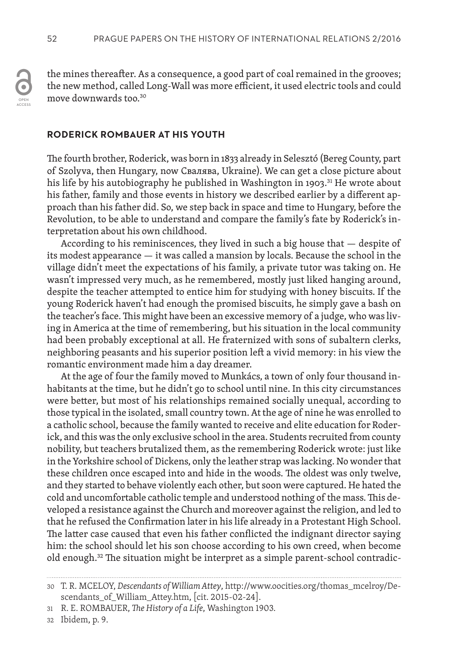the mines thereafter. As a consequence, a good part of coal remained in the grooves; the new method, called Long-Wall was more efficient, it used electric tools and could move downwards too.30

#### **RODERICK ROMBAUER AT HIS YOUTH**

The fourth brother, Roderick, was born in 1833 already in Selesztó (Bereg County, part of Szolyva, then Hungary, now Свалява, Ukraine). We can get a close picture about his life by his autobiography he published in Washington in 1903.<sup>31</sup> He wrote about his father, family and those events in history we described earlier by a different approach than his father did. So, we step back in space and time to Hungary, before the Revolution, to be able to understand and compare the family's fate by Roderick's interpretation about his own childhood.

According to his reminiscences, they lived in such a big house that — despite of its modest appearance — it was called a mansion by locals. Because the school in the village didn't meet the expectations of his family, a private tutor was taking on. He wasn't impressed very much, as he remembered, mostly just liked hanging around, despite the teacher attempted to entice him for studying with honey biscuits. If the young Roderick haven't had enough the promised biscuits, he simply gave a bash on the teacher's face. This might have been an excessive memory of a judge, who was living in America at the time of remembering, but his situation in the local community had been probably exceptional at all. He fraternized with sons of subaltern clerks, neighboring peasants and his superior position left a vivid memory: in his view the romantic environment made him a day dreamer.

At the age of four the family moved to Munkács, a town of only four thousand inhabitants at the time, but he didn't go to school until nine. In this city circumstances were better, but most of his relationships remained socially unequal, according to those typical in the isolated, small country town. At the age of nine he was enrolled to a catholic school, because the family wanted to receive and elite education for Roderick, and this was the only exclusive school in the area. Students recruited from county nobility, but teachers brutalized them, as the remembering Roderick wrote: just like in the Yorkshire school of Dickens, only the leather strap was lacking. No wonder that these children once escaped into and hide in the woods. The oldest was only twelve, and they started to behave violently each other, but soon were captured. He hated the cold and uncomfortable catholic temple and understood nothing of the mass. This developed a resistance against the Church and moreover against the religion, and led to that he refused the Confirmation later in his life already in a Protestant High School. The latter case caused that even his father conflicted the indignant director saying him: the school should let his son choose according to his own creed, when become old enough.32 The situation might be interpret as a simple parent-school contradic-

32 Ibidem, p. 9.

<sup>30</sup> T. R. MCELOY, *Descendants of William Attey*, http://www.oocities.org/thomas\_mcelroy/Descendants\_of\_William\_Attey.htm, [cit. 2015-02-24].

<sup>31</sup> R. E. ROMBAUER, *The History of a Life*, Washington 1903.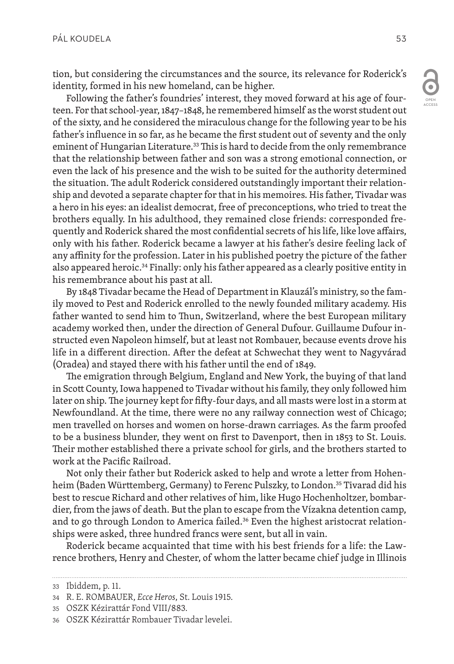tion, but considering the circumstances and the source, its relevance for Roderick's identity, formed in his new homeland, can be higher.

Following the father's foundries' interest, they moved forward at his age of fourteen. For that school-year, 1847–1848, he remembered himself as the worst student out of the sixty, and he considered the miraculous change for the following year to be his father's influence in so far, as he became the first student out of seventy and the only eminent of Hungarian Literature.<sup>33</sup> This is hard to decide from the only remembrance that the relationship between father and son was a strong emotional connection, or even the lack of his presence and the wish to be suited for the authority determined the situation. The adult Roderick considered outstandingly important their relationship and devoted a separate chapter for that in his memoires. His father, Tivadar was a hero in his eyes: an idealist democrat, free of preconceptions, who tried to treat the brothers equally. In his adulthood, they remained close friends: corresponded frequently and Roderick shared the most confidential secrets of his life, like love affairs, only with his father. Roderick became a lawyer at his father's desire feeling lack of any affinity for the profession. Later in his published poetry the picture of the father also appeared heroic.<sup>34</sup> Finally: only his father appeared as a clearly positive entity in his remembrance about his past at all.

By 1848 Tivadar became the Head of Department in Klauzál's ministry, so the family moved to Pest and Roderick enrolled to the newly founded military academy. His father wanted to send him to Thun, Switzerland, where the best European military academy worked then, under the direction of General Dufour. Guillaume Dufour instructed even Napoleon himself, but at least not Rombauer, because events drove his life in a different direction. After the defeat at Schwechat they went to Nagyvárad (Oradea) and stayed there with his father until the end of 1849.

The emigration through Belgium, England and New York, the buying of that land in Scott County, Iowa happened to Tivadar without his family, they only followed him later on ship. The journey kept for fifty-four days, and all masts were lost in a storm at Newfoundland. At the time, there were no any railway connection west of Chicago; men travelled on horses and women on horse-drawn carriages. As the farm proofed to be a business blunder, they went on first to Davenport, then in 1853 to St. Louis. Their mother established there a private school for girls, and the brothers started to work at the Pacific Railroad.

Not only their father but Roderick asked to help and wrote a letter from Hohenheim (Baden Württemberg, Germany) to Ferenc Pulszky, to London.<sup>35</sup> Tivarad did his best to rescue Richard and other relatives of him, like Hugo Hochenholtzer, bombardier, from the jaws of death. But the plan to escape from the Vízakna detention camp, and to go through London to America failed. $36$  Even the highest aristocrat relationships were asked, three hundred francs were sent, but all in vain.

Roderick became acquainted that time with his best friends for a life: the Lawrence brothers, Henry and Chester, of whom the latter became chief judge in Illinois

<sup>33</sup> Ibiddem, p. 11.

<sup>34</sup> R. E. ROMBAUER, *Ecce Heros*, St. Louis 1915.

<sup>35</sup> OSZK Kézirattár Fond VIII/883.

<sup>36</sup> OSZK Kézirattár Rombauer Tivadar levelei.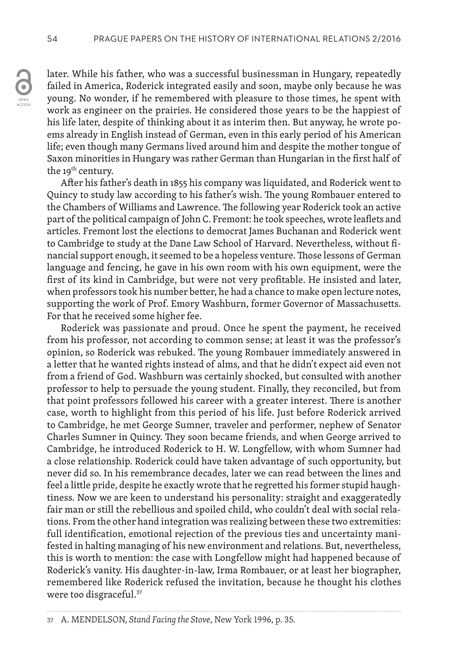later. While his father, who was a successful businessman in Hungary, repeatedly failed in America, Roderick integrated easily and soon, maybe only because he was young. No wonder, if he remembered with pleasure to those times, he spent with work as engineer on the prairies. He considered those years to be the happiest of his life later, despite of thinking about it as interim then. But anyway, he wrote poems already in English instead of German, even in this early period of his American life; even though many Germans lived around him and despite the mother tongue of Saxon minorities in Hungary was rather German than Hungarian in the first half of the 19<sup>th</sup> century.

After his father's death in 1855 his company was liquidated, and Roderick went to Quincy to study law according to his father's wish. The young Rombauer entered to the Chambers of Williams and Lawrence. The following year Roderick took an active part of the political campaign of John C. Fremont: he took speeches, wrote leaflets and articles. Fremont lost the elections to democrat James Buchanan and Roderick went to Cambridge to study at the Dane Law School of Harvard. Nevertheless, without financial support enough, it seemed to be a hopeless venture. Those lessons of German language and fencing, he gave in his own room with his own equipment, were the first of its kind in Cambridge, but were not very profitable. He insisted and later, when professors took his number better, he had a chance to make open lecture notes, supporting the work of Prof. Emory Washburn, former Governor of Massachusetts. For that he received some higher fee.

Roderick was passionate and proud. Once he spent the payment, he received from his professor, not according to common sense; at least it was the professor's opinion, so Roderick was rebuked. The young Rombauer immediately answered in a letter that he wanted rights instead of alms, and that he didn't expect aid even not from a friend of God. Washburn was certainly shocked, but consulted with another professor to help to persuade the young student. Finally, they reconciled, but from that point professors followed his career with a greater interest. There is another case, worth to highlight from this period of his life. Just before Roderick arrived to Cambridge, he met George Sumner, traveler and performer, nephew of Senator Charles Sumner in Quincy. They soon became friends, and when George arrived to Cambridge, he introduced Roderick to H. W. Longfellow, with whom Sumner had a close relationship. Roderick could have taken advantage of such opportunity, but never did so. In his remembrance decades, later we can read between the lines and feel a little pride, despite he exactly wrote that he regretted his former stupid haughtiness. Now we are keen to understand his personality: straight and exaggeratedly fair man or still the rebellious and spoiled child, who couldn't deal with social relations. From the other hand integration was realizing between these two extremities: full identification, emotional rejection of the previous ties and uncertainty manifested in halting managing of his new environment and relations. But, nevertheless, this is worth to mention: the case with Longfellow might had happened because of Roderick's vanity. His daughter-in-law, Irma Rombauer, or at least her biographer, remembered like Roderick refused the invitation, because he thought his clothes were too disgraceful.<sup>37</sup>

<sup>37</sup> A. MENDELSON, *Stand Facing the Stove*, New York 1996, p. 35.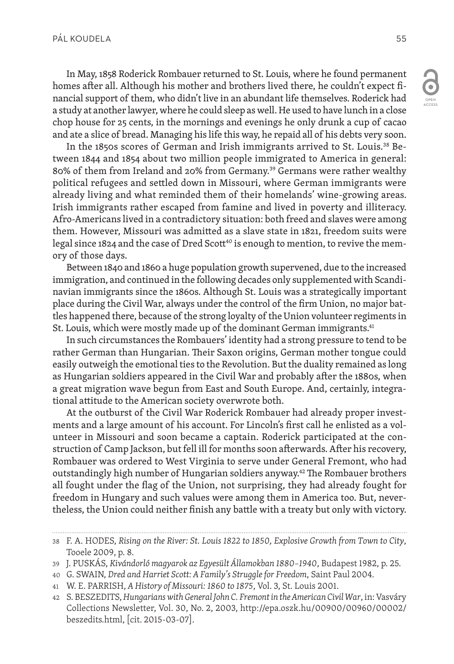In May, 1858 Roderick Rombauer returned to St. Louis, where he found permanent homes after all. Although his mother and brothers lived there, he couldn't expect financial support of them, who didn't live in an abundant life themselves. Roderick had a study at another lawyer, where he could sleep as well. He used to have lunch in a close chop house for 25 cents, in the mornings and evenings he only drunk a cup of cacao and ate a slice of bread. Managing his life this way, he repaid all of his debts very soon.

In the 1850s scores of German and Irish immigrants arrived to St. Louis.38 Between 1844 and 1854 about two million people immigrated to America in general: 80% of them from Ireland and 20% from Germany.39 Germans were rather wealthy political refugees and settled down in Missouri, where German immigrants were already living and what reminded them of their homelands' wine-growing areas. Irish immigrants rather escaped from famine and lived in poverty and illiteracy. Afro-Americans lived in a contradictory situation: both freed and slaves were among them. However, Missouri was admitted as a slave state in 1821, freedom suits were legal since 1824 and the case of Dred Scott<sup>40</sup> is enough to mention, to revive the memory of those days.

Between 1840 and 1860 a huge population growth supervened, due to the increased immigration, and continued in the following decades only supplemented with Scandinavian immigrants since the 1860s. Although St. Louis was a strategically important place during the Civil War, always under the control of the firm Union, no major battles happened there, because of the strong loyalty of the Union volunteer regiments in St. Louis, which were mostly made up of the dominant German immigrants.<sup>41</sup>

In such circumstances the Rombauers' identity had a strong pressure to tend to be rather German than Hungarian. Their Saxon origins, German mother tongue could easily outweigh the emotional ties to the Revolution. But the duality remained as long as Hungarian soldiers appeared in the Civil War and probably after the 1880s, when a great migration wave begun from East and South Europe. And, certainly, integrational attitude to the American society overwrote both.

At the outburst of the Civil War Roderick Rombauer had already proper investments and a large amount of his account. For Lincoln's first call he enlisted as a volunteer in Missouri and soon became a captain. Roderick participated at the construction of Camp Jackson, but fell ill for months soon afterwards. After his recovery, Rombauer was ordered to West Virginia to serve under General Fremont, who had outstandingly high number of Hungarian soldiers anyway.42 The Rombauer brothers all fought under the flag of the Union, not surprising, they had already fought for freedom in Hungary and such values were among them in America too. But, nevertheless, the Union could neither finish any battle with a treaty but only with victory.

ACCESS

<sup>38</sup> F. A. HODES, *Rising on the River: St. Louis 1822 to 1850, Explosive Growth from Town to City*, Tooele 2009, p. 8.

<sup>39</sup> J. PUSKÁS, *Kivándorló magyarok az Egyesült Államokban 1880–1940*, Budapest 1982, p. 25.

<sup>40</sup> G. SWAIN, *Dred and Harriet Scott: A Family's Struggle for Freedom*, Saint Paul 2004.

<sup>41</sup> W. E. PARRISH, *A History of Missouri: 1860 to 1875*, Vol. 3, St. Louis 2001.

<sup>42</sup> S. BESZEDITS, *Hungarians with General John C. Fremont in the American Civil War*, in: Vasváry Collections Newsletter, Vol. 30, No. 2, 2003, http://epa.oszk.hu/00900/00960/00002/ beszedits.html, [cit. 2015-03-07].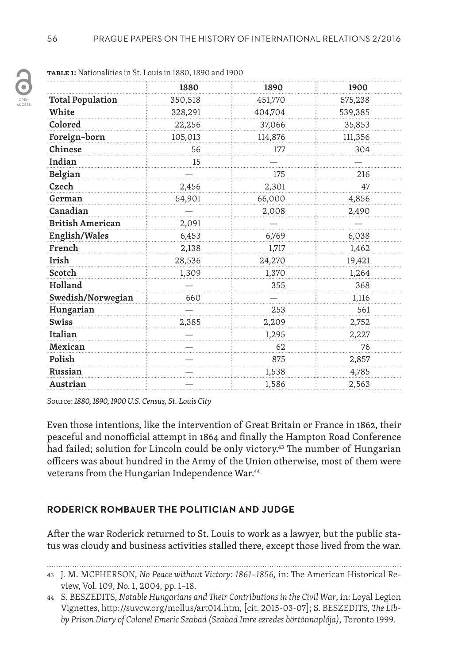

|                         | 1880    | 1890    | 1900    |
|-------------------------|---------|---------|---------|
| <b>Total Population</b> | 350,518 | 451,770 | 575,238 |
| White                   | 328,291 | 404,704 | 539,385 |
| Colored                 | 22,256  | 37,066  | 35,853  |
| Foreign-born            | 105,013 | 114,876 | 111,356 |
| Chinese                 | 56      | 177     | 304     |
| Indian                  | 15      |         |         |
| Belgian                 |         | 175     | 216     |
| Czech                   | 2,456   | 2,301   | 47      |
| German                  | 54,901  | 66,000  | 4,856   |
| Canadian                |         | 2,008   | 2,490   |
| <b>British American</b> | 2,091   |         |         |
| English/Wales           | 6,453   | 6,769   | 6,038   |
| French                  | 2,138   | 1,717   | 1,462   |
| Irish                   | 28,536  | 24,270  | 19,421  |
| Scotch                  | 1,309   | 1,370   | 1,264   |
| Holland                 |         | 355     | 368     |
| Swedish/Norwegian       | 660     |         | 1,116   |
| Hungarian               |         | 253     | 561     |
| <b>Swiss</b>            | 2,385   | 2,209   | 2,752   |
| Italian                 |         | 1,295   | 2,227   |
| Mexican                 |         | 62      | 76      |
| Polish                  |         | 875     | 2,857   |
| Russian                 |         | 1,538   | 4,785   |
| Austrian                |         | 1,586   | 2,563   |

Source: *1880, 1890, 1900 U.S. Census, St. Louis City*

Even those intentions, like the intervention of Great Britain or France in 1862, their peaceful and nonofficial attempt in 1864 and finally the Hampton Road Conference had failed; solution for Lincoln could be only victory.<sup>43</sup> The number of Hungarian officers was about hundred in the Army of the Union otherwise, most of them were veterans from the Hungarian Independence War.<sup>44</sup>

## **RODERICK ROMBAUER THE POLITICIAN AND JUDGE**

After the war Roderick returned to St. Louis to work as a lawyer, but the public status was cloudy and business activities stalled there, except those lived from the war.

<sup>43</sup> J. M. MCPHERSON, *No Peace without Victory: 1861–1856,* in: The American Historical Review, Vol. 109, No. 1, 2004, pp. 1–18.

<sup>44</sup> S. BESZEDITS, *Notable Hungarians and Their Contributions in the Civil War*, in: Loyal Legion Vignettes, http://suvcw.org/mollus/art014.htm, [cit. 2015-03-07]; S. BESZEDITS, *The Libby Prison Diary of Colonel Emeric Szabad (Szabad Imre ezredes börtönnaplója)*, Toronto 1999.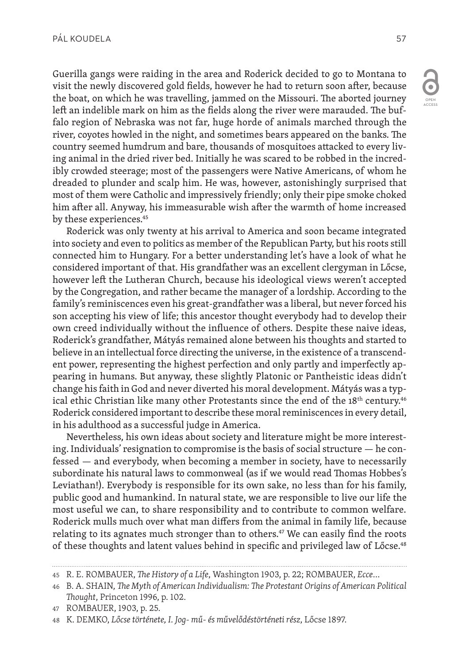Guerilla gangs were raiding in the area and Roderick decided to go to Montana to visit the newly discovered gold fields, however he had to return soon after, because the boat, on which he was travelling, jammed on the Missouri. The aborted journey left an indelible mark on him as the fields along the river were marauded. The buffalo region of Nebraska was not far, huge horde of animals marched through the river, coyotes howled in the night, and sometimes bears appeared on the banks. The country seemed humdrum and bare, thousands of mosquitoes attacked to every living animal in the dried river bed. Initially he was scared to be robbed in the incredibly crowded steerage; most of the passengers were Native Americans, of whom he dreaded to plunder and scalp him. He was, however, astonishingly surprised that most of them were Catholic and impressively friendly; only their pipe smoke choked him after all. Anyway, his immeasurable wish after the warmth of home increased by these experiences.<sup>45</sup>

Roderick was only twenty at his arrival to America and soon became integrated into society and even to politics as member of the Republican Party, but his roots still connected him to Hungary. For a better understanding let's have a look of what he considered important of that. His grandfather was an excellent clergyman in Lőcse, however left the Lutheran Church, because his ideological views weren't accepted by the Congregation, and rather became the manager of a lordship. According to the family's reminiscences even his great-grandfather was a liberal, but never forced his son accepting his view of life; this ancestor thought everybody had to develop their own creed individually without the influence of others. Despite these naive ideas, Roderick's grandfather, Mátyás remained alone between his thoughts and started to believe in an intellectual force directing the universe, in the existence of a transcendent power, representing the highest perfection and only partly and imperfectly appearing in humans. But anyway, these slightly Platonic or Pantheistic ideas didn't change his faith in God and never diverted his moral development. Mátyás was a typical ethic Christian like many other Protestants since the end of the  $18<sup>th</sup>$  century.<sup>46</sup> Roderick considered important to describe these moral reminiscences in every detail, in his adulthood as a successful judge in America.

Nevertheless, his own ideas about society and literature might be more interesting. Individuals' resignation to compromise is the basis of social structure — he confessed — and everybody, when becoming a member in society, have to necessarily subordinate his natural laws to commonweal (as if we would read Thomas Hobbes's Leviathan!). Everybody is responsible for its own sake, no less than for his family, public good and humankind. In natural state, we are responsible to live our life the most useful we can, to share responsibility and to contribute to common welfare. Roderick mulls much over what man differs from the animal in family life, because relating to its agnates much stronger than to others.<sup>47</sup> We can easily find the roots of these thoughts and latent values behind in specific and privileged law of Lőcse.<sup>48</sup>

<sup>45</sup> R. E. ROMBAUER, *The History of a Life*, Washington 1903, p. 22; ROMBAUER, *Ecce*…

<sup>46</sup> B. A. SHAIN, *The Myth of American Individualism: The Protestant Origins of American Political Thought*, Princeton 1996, p. 102.

<sup>47</sup> ROMBAUER, 1903, p. 25.

<sup>48</sup> K. DEMKO, *Lőcse története, I. Jog- mű- és művelődéstörténeti rész*, Lőcse 1897.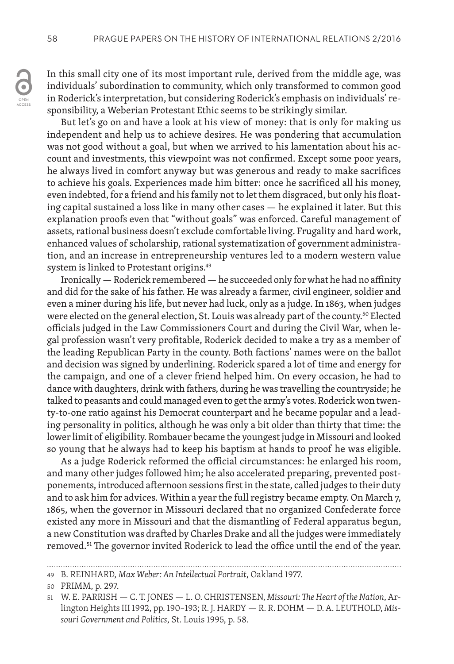In this small city one of its most important rule, derived from the middle age, was individuals' subordination to community, which only transformed to common good in Roderick's interpretation, but considering Roderick's emphasis on individuals' responsibility, a Weberian Protestant Ethic seems to be strikingly similar.

But let's go on and have a look at his view of money: that is only for making us independent and help us to achieve desires. He was pondering that accumulation was not good without a goal, but when we arrived to his lamentation about his account and investments, this viewpoint was not confirmed. Except some poor years, he always lived in comfort anyway but was generous and ready to make sacrifices to achieve his goals. Experiences made him bitter: once he sacrificed all his money, even indebted, for a friend and his family not to let them disgraced, but only his floating capital sustained a loss like in many other cases — he explained it later. But this explanation proofs even that "without goals" was enforced. Careful management of assets, rational business doesn't exclude comfortable living. Frugality and hard work, enhanced values of scholarship, rational systematization of government administration, and an increase in entrepreneurship ventures led to a modern western value system is linked to Protestant origins.49

Ironically — Roderick remembered — he succeeded only for what he had no affinity and did for the sake of his father. He was already a farmer, civil engineer, soldier and even a miner during his life, but never had luck, only as a judge. In 1863, when judges were elected on the general election, St. Louis was already part of the county.<sup>50</sup> Elected officials judged in the Law Commissioners Court and during the Civil War, when legal profession wasn't very profitable, Roderick decided to make a try as a member of the leading Republican Party in the county. Both factions' names were on the ballot and decision was signed by underlining. Roderick spared a lot of time and energy for the campaign, and one of a clever friend helped him. On every occasion, he had to dance with daughters, drink with fathers, during he was travelling the countryside; he talked to peasants and could managed even to get the army's votes. Roderick won twenty-to-one ratio against his Democrat counterpart and he became popular and a leading personality in politics, although he was only a bit older than thirty that time: the lower limit of eligibility. Rombauer became the youngest judge in Missouri and looked so young that he always had to keep his baptism at hands to proof he was eligible.

As a judge Roderick reformed the official circumstances: he enlarged his room, and many other judges followed him; he also accelerated preparing, prevented postponements, introduced afternoon sessions first in the state, called judges to their duty and to ask him for advices. Within a year the full registry became empty. On March 7, 1865, when the governor in Missouri declared that no organized Confederate force existed any more in Missouri and that the dismantling of Federal apparatus begun, a new Constitution was drafted by Charles Drake and all the judges were immediately removed.<sup>51</sup> The governor invited Roderick to lead the office until the end of the year.

<sup>49</sup> B. REINHARD, *Max Weber: An Intellectual Portrait*, Oakland 1977.

<sup>50</sup> PRIMM, p. 297.

<sup>51</sup> W. E. PARRISH — C. T. JONES — L. O. CHRISTENSEN, *Missouri: The Heart of the Nation*, Arlington Heights III 1992, pp. 190*–*193; R. J. HARDY — R. R. DOHM — D. A. LEUTHOLD, *Missouri Government and Politics*, St. Louis 1995, p. 58.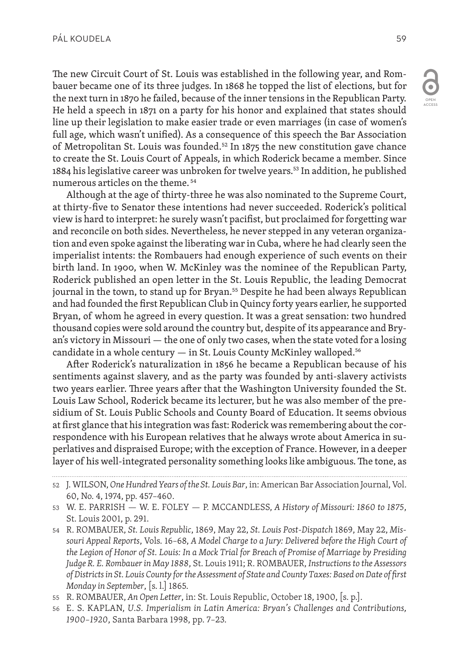The new Circuit Court of St. Louis was established in the following year, and Rombauer became one of its three judges. In 1868 he topped the list of elections, but for the next turn in 1870 he failed, because of the inner tensions in the Republican Party. He held a speech in 1871 on a party for his honor and explained that states should line up their legislation to make easier trade or even marriages (in case of women's full age, which wasn't unified). As a consequence of this speech the Bar Association of Metropolitan St. Louis was founded.<sup>52</sup> In 1875 the new constitution gave chance to create the St. Louis Court of Appeals, in which Roderick became a member. Since 1884 his legislative career was unbroken for twelve years.<sup>53</sup> In addition, he published numerous articles on the theme. 54

Although at the age of thirty-three he was also nominated to the Supreme Court, at thirty-five to Senator these intentions had never succeeded. Roderick's political view is hard to interpret: he surely wasn't pacifist, but proclaimed for forgetting war and reconcile on both sides. Nevertheless, he never stepped in any veteran organization and even spoke against the liberating war in Cuba, where he had clearly seen the imperialist intents: the Rombauers had enough experience of such events on their birth land. In 1900, when W. McKinley was the nominee of the Republican Party, Roderick published an open letter in the St. Louis Republic, the leading Democrat journal in the town, to stand up for Bryan.<sup>55</sup> Despite he had been always Republican and had founded the first Republican Club in Quincy forty years earlier, he supported Bryan, of whom he agreed in every question. It was a great sensation: two hundred thousand copies were sold around the country but, despite of its appearance and Bryan's victory in Missouri — the one of only two cases, when the state voted for a losing candidate in a whole century  $-$  in St. Louis County McKinley walloped.<sup>56</sup>

After Roderick's naturalization in 1856 he became a Republican because of his sentiments against slavery, and as the party was founded by anti-slavery activists two years earlier. Three years after that the Washington University founded the St. Louis Law School, Roderick became its lecturer, but he was also member of the presidium of St. Louis Public Schools and County Board of Education. It seems obvious at first glance that his integration was fast: Roderick was remembering about the correspondence with his European relatives that he always wrote about America in superlatives and dispraised Europe; with the exception of France. However, in a deeper layer of his well-integrated personality something looks like ambiguous. The tone, as

- 52 J. WILSON, *One Hundred Years of the St. Louis Bar*, in: American Bar Association Journal, Vol. 60, No. 4, 1974, pp. 457–460.
- 53 W. E. PARRISH W. E. FOLEY P. MCCANDLESS, *A History of Missouri: 1860 to 1875*, St. Louis 2001, p. 291.
- 54 R. ROMBAUER, *St. Louis Republic*, 1869, May 22, *St. Louis Post-Dispatch* 1869, May 22, *Missouri Appeal Reports*, Vols. 16*–*68, *A Model Charge to a Jury: Delivered before the High Court of the Legion of Honor of St. Louis: In a Mock Trial for Breach of Promise of Marriage by Presiding Judge R. E. Rombauer in May 1888*, St. Louis 1911; R. ROMBAUER, *Instructions to the Assessors of Districts in St. Louis County for the Assessment of State and County Taxes: Based on Date of first Monday in September*, [s. l.] 1865.
- 55 R. ROMBAUER, *An Open Letter*, in: St. Louis Republic, October 18, 1900, [s. p.].
- 56 E. S. KAPLAN, *U.S. Imperialism in Latin America: Bryan's Challenges and Contributions, 1900–1920*, Santa Barbara 1998, pp. 7*–*23.

OPEN ACCESS

 $\bullet$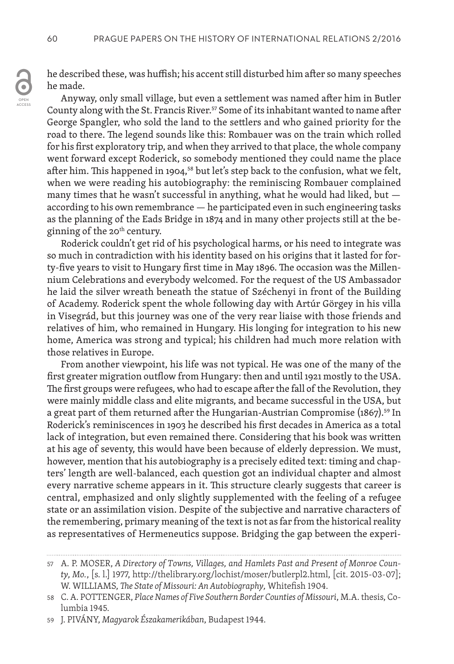he described these, was huffish; his accent still disturbed him after so many speeches he made.

Anyway, only small village, but even a settlement was named after him in Butler County along with the St. Francis River.<sup>57</sup> Some of its inhabitant wanted to name after George Spangler, who sold the land to the settlers and who gained priority for the road to there. The legend sounds like this: Rombauer was on the train which rolled for his first exploratory trip, and when they arrived to that place, the whole company went forward except Roderick, so somebody mentioned they could name the place after him. This happened in 1904,<sup>58</sup> but let's step back to the confusion, what we felt, when we were reading his autobiography: the reminiscing Rombauer complained many times that he wasn't successful in anything, what he would had liked, but according to his own remembrance — he participated even in such engineering tasks as the planning of the Eads Bridge in 1874 and in many other projects still at the beginning of the 20<sup>th</sup> century.

Roderick couldn't get rid of his psychological harms, or his need to integrate was so much in contradiction with his identity based on his origins that it lasted for forty-five years to visit to Hungary first time in May 1896. The occasion was the Millennium Celebrations and everybody welcomed. For the request of the US Ambassador he laid the silver wreath beneath the statue of Széchenyi in front of the Building of Academy. Roderick spent the whole following day with Artúr Görgey in his villa in Visegrád, but this journey was one of the very rear liaise with those friends and relatives of him, who remained in Hungary. His longing for integration to his new home, America was strong and typical; his children had much more relation with those relatives in Europe.

From another viewpoint, his life was not typical. He was one of the many of the first greater migration outflow from Hungary: then and until 1921 mostly to the USA. The first groups were refugees, who had to escape after the fall of the Revolution, they were mainly middle class and elite migrants, and became successful in the USA, but a great part of them returned after the Hungarian-Austrian Compromise (1867).<sup>59</sup> In Roderick's reminiscences in 1903 he described his first decades in America as a total lack of integration, but even remained there. Considering that his book was written at his age of seventy, this would have been because of elderly depression. We must, however, mention that his autobiography is a precisely edited text: timing and chapters' length are well-balanced, each question got an individual chapter and almost every narrative scheme appears in it. This structure clearly suggests that career is central, emphasized and only slightly supplemented with the feeling of a refugee state or an assimilation vision. Despite of the subjective and narrative characters of the remembering, primary meaning of the text is not as far from the historical reality as representatives of Hermeneutics suppose. Bridging the gap between the experi-

<sup>57</sup> A. P. MOSER, *A Directory of Towns, Villages, and Hamlets Past and Present of Monroe County, Mo.*, [s. l.] 1977, http://thelibrary.org/lochist/moser/butlerpl2.html, [cit. 2015-03-07]; W. WILLIAMS, *The State of Missouri: An Autobiography,* Whitefish 1904.

<sup>58</sup> C. A. POTTENGER, *Place Names of Five Southern Border Counties of Missouri*, M.A. thesis, Columbia 1945.

<sup>59</sup> J. PIVÁNY, *Magyarok Északamerikában*, Budapest 1944.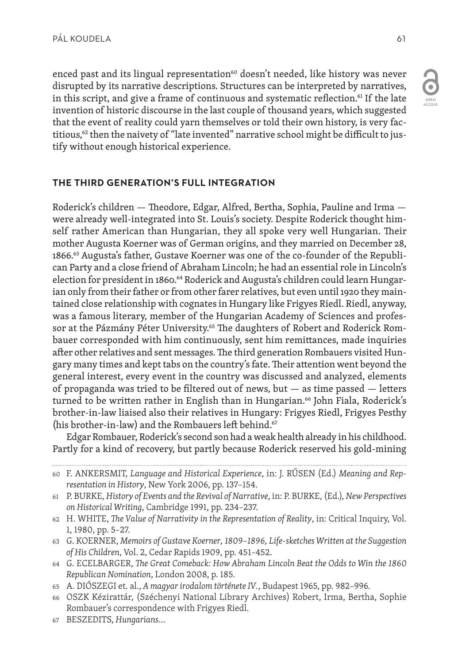enced past and its lingual representation<sup>60</sup> doesn't needed, like history was never disrupted by its narrative descriptions. Structures can be interpreted by narratives, in this script, and give a frame of continuous and systematic reflection.<sup>61</sup> If the late invention of historic discourse in the last couple of thousand years, which suggested that the event of reality could yarn themselves or told their own history, is very factitious,<sup>62</sup> then the naivety of "late invented" narrative school might be difficult to justify without enough historical experience.

## **THE THIRD GENERATION'S FULL INTEGRATION**

Roderick's children — Theodore, Edgar, Alfred, Bertha, Sophia, Pauline and Irma were already well-integrated into St. Louis's society. Despite Roderick thought himself rather American than Hungarian, they all spoke very well Hungarian. Their mother Augusta Koerner was of German origins, and they married on December 28, 1866.<sup>63</sup> Augusta's father, Gustave Koerner was one of the co-founder of the Republican Party and a close friend of Abraham Lincoln; he had an essential role in Lincoln's election for president in 1860.<sup>64</sup> Roderick and Augusta's children could learn Hungarian only from their father or from other farer relatives, but even until 1920 they maintained close relationship with cognates in Hungary like Frigyes Riedl. Riedl, anyway, was a famous literary, member of the Hungarian Academy of Sciences and professor at the Pázmány Péter University.<sup>65</sup> The daughters of Robert and Roderick Rombauer corresponded with him continuously, sent him remittances, made inquiries after other relatives and sent messages. The third generation Rombauers visited Hungary many times and kept tabs on the country's fate. Their attention went beyond the general interest, every event in the country was discussed and analyzed, elements of propaganda was tried to be filtered out of news, but — as time passed — letters turned to be written rather in English than in Hungarian.<sup>66</sup> John Fiala, Roderick's brother-in-law liaised also their relatives in Hungary: Frigyes Riedl, Frigyes Pesthy (his brother-in-law) and the Rombauers left behind.<sup>67</sup>

Edgar Rombauer, Roderick's second son had a weak health already in his childhood. Partly for a kind of recovery, but partly because Roderick reserved his gold-mining

67 BESZEDITS, *Hungarians*…

OPEN ACCESS

 $\overline{\bullet}$ 

<sup>60</sup> F. ANKERSMIT, *Language and Historical Experience*, in: J. RŰSEN (Ed.) *Meaning and Representation in History*, New York 2006, pp. 137–154.

<sup>61</sup> P. BURKE, *History of Events and the Revival of Narrative*, in: P. BURKE, (Ed.), *New Perspectives on Historical Writing*, Cambridge 1991, pp. 234–237.

<sup>62</sup> H. WHITE, *The Value of Narrativity in the Representation of Reality*, in: Critical Inquiry, Vol. 1, 1980, pp. 5–27.

<sup>63</sup> G. KOERNER, *Memoirs of Gustave Koerner, 1809–1896, Life-sketches Written at the Suggestion of His Children*, Vol. 2, Cedar Rapids 1909, pp. 451–452.

<sup>64</sup> G. ECELBARGER, *The Great Comeback: How Abraham Lincoln Beat the Odds to Win the 1860 Republican Nomination*, London 2008, p. 185.

<sup>65</sup> A. DIÓSZEGI et. al., *A magyar irodalom története IV.*, Budapest 1965, pp. 982–996.

<sup>66</sup> OSZK Kézirattár, (Széchenyi National Library Archives) Robert, Irma, Bertha, Sophie Rombauer's correspondence with Frigyes Riedl.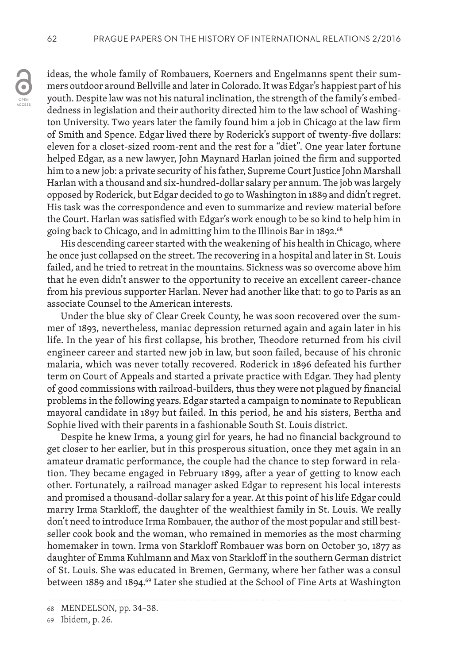OPEN ACCESS ideas, the whole family of Rombauers, Koerners and Engelmanns spent their summers outdoor around Bellville and later in Colorado. It was Edgar's happiest part of his youth. Despite law was not his natural inclination, the strength of the family's embeddedness in legislation and their authority directed him to the law school of Washington University. Two years later the family found him a job in Chicago at the law firm of Smith and Spence. Edgar lived there by Roderick's support of twenty-five dollars: eleven for a closet-sized room-rent and the rest for a "diet". One year later fortune helped Edgar, as a new lawyer, John Maynard Harlan joined the firm and supported him to a new job: a private security of his father, Supreme Court Justice John Marshall Harlan with a thousand and six-hundred-dollar salary per annum. The job was largely opposed by Roderick, but Edgar decided to go to Washington in 1889 and didn't regret. His task was the correspondence and even to summarize and review material before the Court. Harlan was satisfied with Edgar's work enough to be so kind to help him in going back to Chicago, and in admitting him to the Illinois Bar in 1892.<sup>68</sup>

His descending career started with the weakening of his health in Chicago, where he once just collapsed on the street. The recovering in a hospital and later in St. Louis failed, and he tried to retreat in the mountains. Sickness was so overcome above him that he even didn't answer to the opportunity to receive an excellent career-chance from his previous supporter Harlan. Never had another like that: to go to Paris as an associate Counsel to the American interests.

Under the blue sky of Clear Creek County, he was soon recovered over the summer of 1893, nevertheless, maniac depression returned again and again later in his life. In the year of his first collapse, his brother, Theodore returned from his civil engineer career and started new job in law, but soon failed, because of his chronic malaria, which was never totally recovered. Roderick in 1896 defeated his further term on Court of Appeals and started a private practice with Edgar. They had plenty of good commissions with railroad-builders, thus they were not plagued by financial problems in the following years. Edgar started a campaign to nominate to Republican mayoral candidate in 1897 but failed. In this period, he and his sisters, Bertha and Sophie lived with their parents in a fashionable South St. Louis district.

Despite he knew Irma, a young girl for years, he had no financial background to get closer to her earlier, but in this prosperous situation, once they met again in an amateur dramatic performance, the couple had the chance to step forward in relation. They became engaged in February 1899, after a year of getting to know each other. Fortunately, a railroad manager asked Edgar to represent his local interests and promised a thousand-dollar salary for a year. At this point of his life Edgar could marry Irma Starkloff, the daughter of the wealthiest family in St. Louis. We really don't need to introduce Irma Rombauer, the author of the most popular and still bestseller cook book and the woman, who remained in memories as the most charming homemaker in town. Irma von Starkloff Rombauer was born on October 30, 1877 as daughter of Emma Kuhlmann and Max von Starkloff in the southern German district of St. Louis. She was educated in Bremen, Germany, where her father was a consul between 1889 and 1894.<sup>69</sup> Later she studied at the School of Fine Arts at Washington

<sup>68</sup> MENDELSON, pp. 34–38.

<sup>69</sup> Ibidem, p. 26.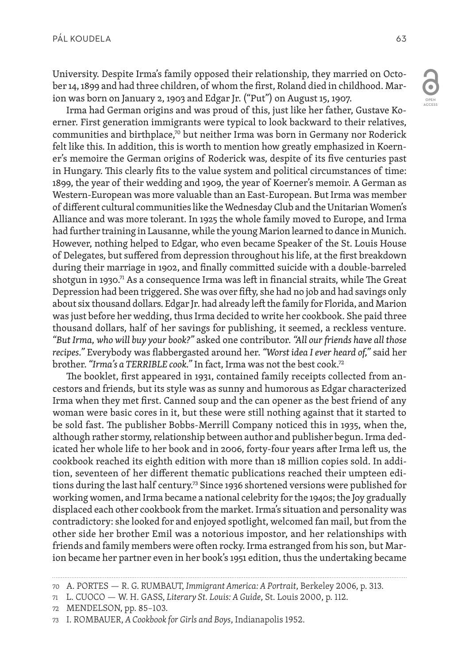University. Despite Irma's family opposed their relationship, they married on October 14, 1899 and had three children, of whom the first, Roland died in childhood. Marion was born on January 2, 1903 and Edgar Jr. ("Put") on August 15, 1907.

Irma had German origins and was proud of this, just like her father, Gustave Koerner. First generation immigrants were typical to look backward to their relatives, communities and birthplace, $\sqrt{2}$  but neither Irma was born in Germany nor Roderick felt like this. In addition, this is worth to mention how greatly emphasized in Koerner's memoire the German origins of Roderick was, despite of its five centuries past in Hungary. This clearly fits to the value system and political circumstances of time: 1899, the year of their wedding and 1909, the year of Koerner's memoir. A German as Western-European was more valuable than an East-European. But Irma was member of different cultural communities like the Wednesday Club and the Unitarian Women's Alliance and was more tolerant. In 1925 the whole family moved to Europe, and Irma had further training in Lausanne, while the young Marion learned to dance in Munich. However, nothing helped to Edgar, who even became Speaker of the St. Louis House of Delegates, but suffered from depression throughout his life, at the first breakdown during their marriage in 1902, and finally committed suicide with a double-barreled shotgun in 1930.<sup>71</sup> As a consequence Irma was left in financial straits, while The Great Depression had been triggered. She was over fifty, she had no job and had savings only about six thousand dollars. Edgar Jr. had already left the family for Florida, and Marion was just before her wedding, thus Irma decided to write her cookbook. She paid three thousand dollars, half of her savings for publishing, it seemed, a reckless venture. *"But Irma, who will buy your book?"* asked one contributor. *"All our friends have all those recipes."* Everybody was flabbergasted around her. *"Worst idea I ever heard of,"* said her brother. *"Irma's a TERRIBLE cook."* In fact, Irma was not the best cook.72

The booklet, first appeared in 1931, contained family receipts collected from ancestors and friends, but its style was as sunny and humorous as Edgar characterized Irma when they met first. Canned soup and the can opener as the best friend of any woman were basic cores in it, but these were still nothing against that it started to be sold fast. The publisher Bobbs-Merrill Company noticed this in 1935, when the, although rather stormy, relationship between author and publisher begun. Irma dedicated her whole life to her book and in 2006, forty-four years after Irma left us, the cookbook reached its eighth edition with more than 18 million copies sold. In addition, seventeen of her different thematic publications reached their umpteen editions during the last half century.<sup>73</sup> Since 1936 shortened versions were published for working women, and Irma became a national celebrity for the 1940s; the Joy gradually displaced each other cookbook from the market. Irma's situation and personality was contradictory: she looked for and enjoyed spotlight, welcomed fan mail, but from the other side her brother Emil was a notorious impostor, and her relationships with friends and family members were often rocky. Irma estranged from his son, but Marion became her partner even in her book's 1951 edition, thus the undertaking became

OPEN ACCESS

 $\overline{\mathbf{C}}$ 

<sup>70</sup> A. PORTES — R. G. RUMBAUT, *Immigrant America: A Portrait*, Berkeley 2006, p. 313.

<sup>71</sup> L. CUOCO — W. H. GASS, *Literary St. Louis: A Guide*, St. Louis 2000, p. 112.

<sup>72</sup> MENDELSON, pp. 85–103.

<sup>73</sup> I. ROMBAUER, *A Cookbook for Girls and Boys*, Indianapolis 1952.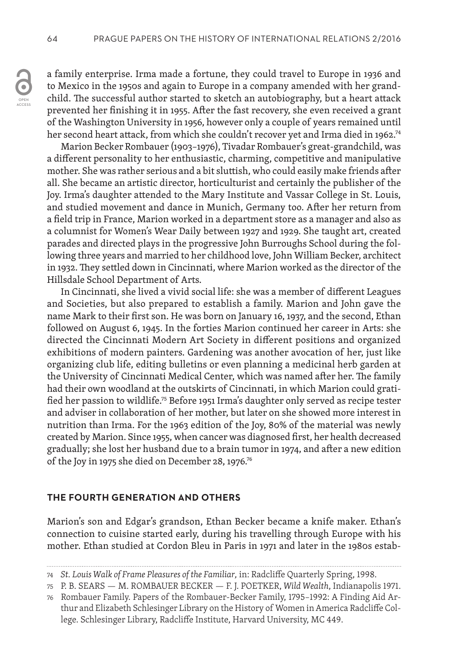a family enterprise. Irma made a fortune, they could travel to Europe in 1936 and to Mexico in the 1950s and again to Europe in a company amended with her grandchild. The successful author started to sketch an autobiography, but a heart attack prevented her finishing it in 1955. After the fast recovery, she even received a grant of the Washington University in 1956, however only a couple of years remained until her second heart attack, from which she couldn't recover yet and Irma died in 1962.<sup>74</sup>

Marion Becker Rombauer (1903–1976), Tivadar Rombauer's great-grandchild, was a different personality to her enthusiastic, charming, competitive and manipulative mother. She was rather serious and a bit sluttish, who could easily make friends after all. She became an artistic director, horticulturist and certainly the publisher of the Joy. Irma's daughter attended to the Mary Institute and Vassar College in St. Louis, and studied movement and dance in Munich, Germany too. After her return from a field trip in France, Marion worked in a department store as a manager and also as a columnist for Women's Wear Daily between 1927 and 1929. She taught art, created parades and directed plays in the progressive John Burroughs School during the following three years and married to her childhood love, John William Becker, architect in 1932. They settled down in Cincinnati, where Marion worked as the director of the Hillsdale School Department of Arts.

In Cincinnati, she lived a vivid social life: she was a member of different Leagues and Societies, but also prepared to establish a family. Marion and John gave the name Mark to their first son. He was born on January 16, 1937, and the second, Ethan followed on August 6, 1945. In the forties Marion continued her career in Arts: she directed the Cincinnati Modern Art Society in different positions and organized exhibitions of modern painters. Gardening was another avocation of her, just like organizing club life, editing bulletins or even planning a medicinal herb garden at the University of Cincinnati Medical Center, which was named after her. The family had their own woodland at the outskirts of Cincinnati, in which Marion could gratified her passion to wildlife.75 Before 1951 Irma's daughter only served as recipe tester and adviser in collaboration of her mother, but later on she showed more interest in nutrition than Irma. For the 1963 edition of the Joy, 80% of the material was newly created by Marion. Since 1955, when cancer was diagnosed first, her health decreased gradually; she lost her husband due to a brain tumor in 1974, and after a new edition of the Joy in 1975 she died on December 28, 1976.76

#### **THE FOURTH GENERATION AND OTHERS**

Marion's son and Edgar's grandson, Ethan Becker became a knife maker. Ethan's connection to cuisine started early, during his travelling through Europe with his mother. Ethan studied at Cordon Bleu in Paris in 1971 and later in the 1980s estab-

<sup>74</sup> *St. Louis Walk of Frame Pleasures of the Familiar,* in: Radcliffe Quarterly Spring, 1998.

<sup>75</sup> P. B. SEARS — M. ROMBAUER BECKER — F. J. POETKER, *Wild Wealth*, Indianapolis 1971.

<sup>76</sup> Rombauer Family. Papers of the Rombauer-Becker Family, 1795–1992: A Finding Aid Arthur and Elizabeth Schlesinger Library on the History of Women in America Radcliffe College. Schlesinger Library, Radcliffe Institute, Harvard University, MC 449.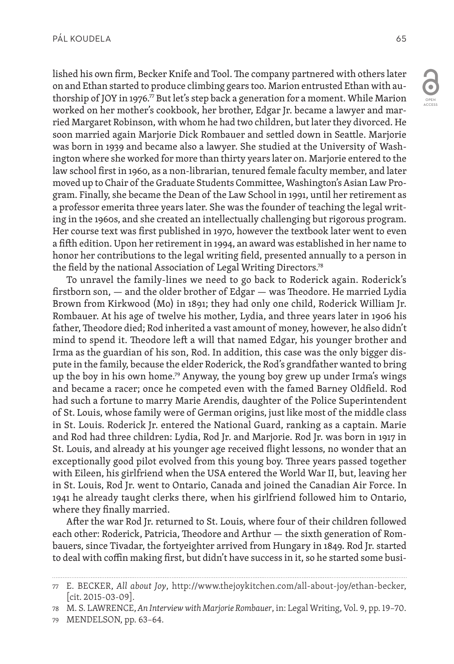lished his own firm, Becker Knife and Tool. The company partnered with others later on and Ethan started to produce climbing gears too. Marion entrusted Ethan with authorship of JOY in 1976.77 But let's step back a generation for a moment. While Marion worked on her mother's cookbook, her brother, Edgar Jr. became a lawyer and married Margaret Robinson, with whom he had two children, but later they divorced. He soon married again Marjorie Dick Rombauer and settled down in Seattle. Marjorie was born in 1939 and became also a lawyer. She studied at the University of Washington where she worked for more than thirty years later on. Marjorie entered to the law school first in 1960, as a non-librarian, tenured female faculty member, and later moved up to Chair of the Graduate Students Committee, Washington's Asian Law Program. Finally, she became the Dean of the Law School in 1991, until her retirement as a professor emerita three years later. She was the founder of teaching the legal writing in the 1960s, and she created an intellectually challenging but rigorous program. Her course text was first published in 1970, however the textbook later went to even a fifth edition. Upon her retirement in 1994, an award was established in her name to honor her contributions to the legal writing field, presented annually to a person in the field by the national Association of Legal Writing Directors.<sup>78</sup>

To unravel the family-lines we need to go back to Roderick again. Roderick's firstborn son, — and the older brother of Edgar — was Theodore. He married Lydia Brown from Kirkwood (Mo) in 1891; they had only one child, Roderick William Jr. Rombauer. At his age of twelve his mother, Lydia, and three years later in 1906 his father, Theodore died; Rod inherited a vast amount of money, however, he also didn't mind to spend it. Theodore left a will that named Edgar, his younger brother and Irma as the guardian of his son, Rod. In addition, this case was the only bigger dispute in the family, because the elder Roderick, the Rod's grandfather wanted to bring up the boy in his own home.<sup>79</sup> Anyway, the young boy grew up under Irma's wings and became a racer; once he competed even with the famed Barney Oldfield. Rod had such a fortune to marry Marie Arendis, daughter of the Police Superintendent of St. Louis, whose family were of German origins, just like most of the middle class in St. Louis. Roderick Jr. entered the National Guard, ranking as a captain. Marie and Rod had three children: Lydia, Rod Jr. and Marjorie. Rod Jr. was born in 1917 in St. Louis, and already at his younger age received flight lessons, no wonder that an exceptionally good pilot evolved from this young boy. Three years passed together with Eileen, his girlfriend when the USA entered the World War II, but, leaving her in St. Louis, Rod Jr. went to Ontario, Canada and joined the Canadian Air Force. In 1941 he already taught clerks there, when his girlfriend followed him to Ontario, where they finally married.

After the war Rod Jr. returned to St. Louis, where four of their children followed each other: Roderick, Patricia, Theodore and Arthur — the sixth generation of Rombauers, since Tivadar, the fortyeighter arrived from Hungary in 1849. Rod Jr. started to deal with coffin making first, but didn't have success in it, so he started some busi-

<sup>77</sup> E. BECKER, *All about Joy*, http://www.thejoykitchen.com/all-about-joy/ethan-becker,  $|$ cit. 2015-03-09 $|$ .

<sup>78</sup> M. S. LAWRENCE, *An Interview with Marjorie Rombauer*, in: Legal Writing, Vol. 9, pp. 19–70.

<sup>79</sup> MENDELSON, pp. 63–64.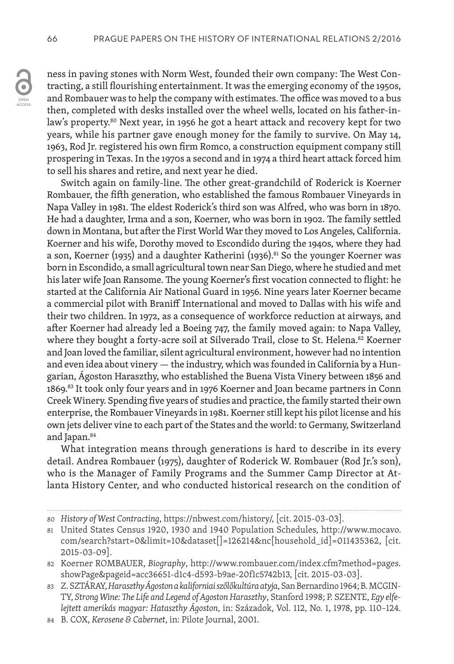ACCESS

ness in paving stones with Norm West, founded their own company: The West Contracting, a still flourishing entertainment. It was the emerging economy of the 1950s, and Rombauer was to help the company with estimates. The office was moved to a bus then, completed with desks installed over the wheel wells, located on his father-inlaw's property.<sup>80</sup> Next year, in 1956 he got a heart attack and recovery kept for two years, while his partner gave enough money for the family to survive. On May 14, 1963, Rod Jr. registered his own firm Romco, a construction equipment company still prospering in Texas. In the 1970s a second and in 1974 a third heart attack forced him to sell his shares and retire, and next year he died.

Switch again on family-line. The other great-grandchild of Roderick is Koerner Rombauer, the fifth generation, who established the famous Rombauer Vineyards in Napa Valley in 1981. The eldest Roderick's third son was Alfred, who was born in 1870. He had a daughter, Irma and a son, Koerner, who was born in 1902. The family settled down in Montana, but after the First World War they moved to Los Angeles, California. Koerner and his wife, Dorothy moved to Escondido during the 1940s, where they had a son, Koerner (1935) and a daughter Katherini (1936).<sup>81</sup> So the younger Koerner was born in Escondido, a small agricultural town near San Diego, where he studied and met his later wife Joan Ransome. The young Koerner's first vocation connected to flight: he started at the California Air National Guard in 1956. Nine years later Koerner became a commercial pilot with Braniff International and moved to Dallas with his wife and their two children. In 1972, as a consequence of workforce reduction at airways, and after Koerner had already led a Boeing 747, the family moved again: to Napa Valley, where they bought a forty-acre soil at Silverado Trail, close to St. Helena.<sup>82</sup> Koerner and Joan loved the familiar, silent agricultural environment, however had no intention and even idea about vinery — the industry, which was founded in California by a Hungarian, Ágoston Haraszthy, who established the Buena Vista Vinery between 1856 and 1869.83 It took only four years and in 1976 Koerner and Joan became partners in Conn Creek Winery. Spending five years of studies and practice, the family started their own enterprise, the Rombauer Vineyards in 1981. Koerner still kept his pilot license and his own jets deliver vine to each part of the States and the world: to Germany, Switzerland and Japan.84

What integration means through generations is hard to describe in its every detail. Andrea Rombauer (1975), daughter of Roderick W. Rombauer (Rod Jr.'s son), who is the Manager of Family Programs and the Summer Camp Director at Atlanta History Center, and who conducted historical research on the condition of

<sup>80</sup> *History of West Contracting*, https://nbwest.com/history/, [cit. 2015-03-03].

<sup>81</sup> United States Census 1920, 1930 and 1940 Population Schedules, http://www.mocavo. com/search?start=0&limit=10&dataset[]=126214&nc[household\_id]=011435362, [cit. 2015-03-09].

<sup>82</sup> Koerner ROMBAUER, *Biography*, http://www.rombauer.com/index.cfm?method=pages. showPage&pageid=acc36651-d1c4-d593-b9ae-20f1c5742b13, [cit. 2015-03-03].

<sup>83</sup> Z. SZTÁRAY, *Haraszthy Ágoston a kaliforniai szőlőkultúra atyja*, San Bernardino 1964; B. MCGIN-TY, *Strong Wine: The Life and Legend of Agoston Haraszthy*, Stanford 1998; P. SZENTE, *Egy elfelejtett amerikás magyar: Hataszthy Ágoston*, in: Századok, Vol. 112, No. 1, 1978, pp. 110–124.

<sup>84</sup> B. COX, *Kerosene & Cabernet*, in: Pilote Journal, 2001.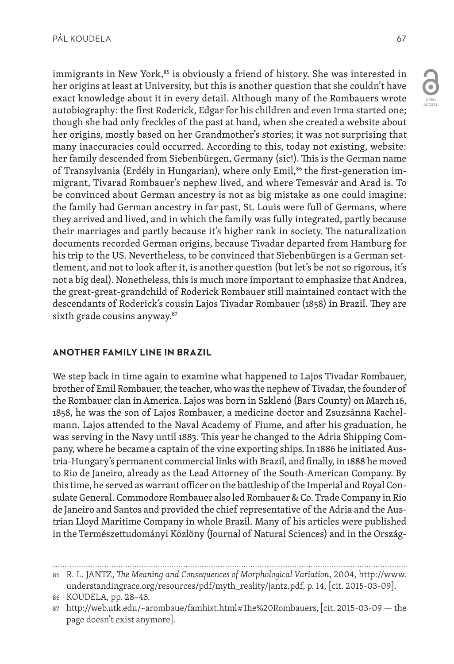immigrants in New York, $85$  is obviously a friend of history. She was interested in her origins at least at University, but this is another question that she couldn't have exact knowledge about it in every detail. Although many of the Rombauers wrote autobiography: the first Roderick, Edgar for his children and even Irma started one; though she had only freckles of the past at hand, when she created a website about her origins, mostly based on her Grandmother's stories; it was not surprising that many inaccuracies could occurred. According to this, today not existing, website: her family descended from Siebenbürgen, Germany (sic!). This is the German name of Transylvania (Erdély in Hungarian), where only Emil,<sup>86</sup> the first-generation immigrant, Tivarad Rombauer's nephew lived, and where Temesvár and Arad is. To be convinced about German ancestry is not as big mistake as one could imagine: the family had German ancestry in far past, St. Louis were full of Germans, where they arrived and lived, and in which the family was fully integrated, partly because their marriages and partly because it's higher rank in society. The naturalization documents recorded German origins, because Tivadar departed from Hamburg for his trip to the US. Nevertheless, to be convinced that Siebenbürgen is a German settlement, and not to look after it, is another question (but let's be not so rigorous, it's not a big deal). Nonetheless, this is much more important to emphasize that Andrea, the great-great-grandchild of Roderick Rombauer still maintained contact with the descendants of Roderick's cousin Lajos Tivadar Rombauer (1858) in Brazil. They are sixth grade cousins anyway.<sup>87</sup>

## **ANOTHER FAMILY LINE IN BRAZIL**

We step back in time again to examine what happened to Lajos Tivadar Rombauer, brother of Emil Rombauer, the teacher, who was the nephew of Tivadar, the founder of the Rombauer clan in America. Lajos was born in Szklenó (Bars County) on March 16, 1858, he was the son of Lajos Rombauer, a medicine doctor and Zsuzsánna Kachelmann. Lajos attended to the Naval Academy of Fiume, and after his graduation, he was serving in the Navy until 1883. This year he changed to the Adria Shipping Company, where he became a captain of the vine exporting ships. In 1886 he initiated Austria-Hungary's permanent commercial links with Brazil, and finally, in 1888 he moved to Rio de Janeiro, already as the Lead Attorney of the South-American Company. By this time, he served as warrant officer on the battleship of the Imperial and Royal Consulate General. Commodore Rombauer also led Rombauer & Co. Trade Company in Rio de Janeiro and Santos and provided the chief representative of the Adria and the Austrian Lloyd Maritime Company in whole Brazil. Many of his articles were published in the Természettudományi Közlöny (Journal of Natural Sciences) and in the Ország-

<sup>85</sup> R. L. JANTZ, *The Meaning and Consequences of Morphological Variation*, 2004, http://www. understandingrace.org/resources/pdf/myth\_reality/jantz.pdf, p. 14, [cit. 2015-03-09].

<sup>86</sup> KOUDELA, pp. 28–45.

<sup>87</sup> http://web.utk.edu/~arombaue/famhist.html#The%20Rombauers, [cit. 2015-03-09 — the page doesn't exist anymore].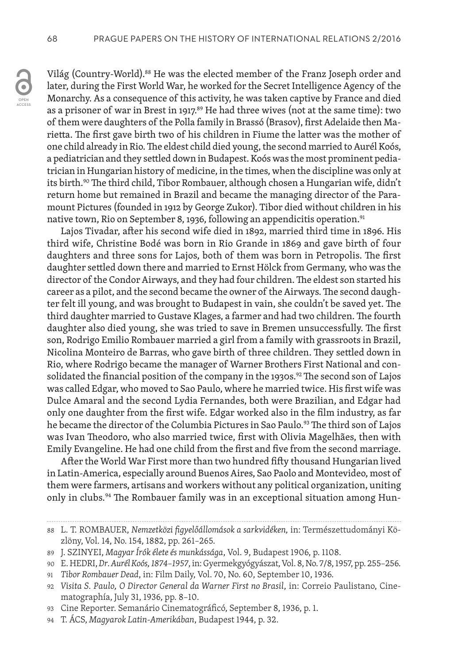Világ (Country-World).<sup>88</sup> He was the elected member of the Franz Joseph order and later, during the First World War, he worked for the Secret Intelligence Agency of the Monarchy. As a consequence of this activity, he was taken captive by France and died as a prisoner of war in Brest in 1917.<sup>89</sup> He had three wives (not at the same time): two of them were daughters of the Polla family in Brassó (Brasov), first Adelaide then Marietta. The first gave birth two of his children in Fiume the latter was the mother of one child already in Rio. The eldest child died young, the second married to Aurél Koós, a pediatrician and they settled down in Budapest. Koós was the most prominent pediatrician in Hungarian history of medicine, in the times, when the discipline was only at its birth.<sup>90</sup> The third child, Tibor Rombauer, although chosen a Hungarian wife, didn't return home but remained in Brazil and became the managing director of the Paramount Pictures (founded in 1912 by George Zukor). Tibor died without children in his native town, Rio on September 8, 1936, following an appendicitis operation.<sup>91</sup>

Lajos Tivadar, after his second wife died in 1892, married third time in 1896. His third wife, Christine Bodé was born in Rio Grande in 1869 and gave birth of four daughters and three sons for Lajos, both of them was born in Petropolis. The first daughter settled down there and married to Ernst Hölck from Germany, who was the director of the Condor Airways, and they had four children. The eldest son started his career as a pilot, and the second became the owner of the Airways. The second daughter felt ill young, and was brought to Budapest in vain, she couldn't be saved yet. The third daughter married to Gustave Klages, a farmer and had two children. The fourth daughter also died young, she was tried to save in Bremen unsuccessfully. The first son, Rodrigo Emilio Rombauer married a girl from a family with grassroots in Brazil, Nicolina Monteiro de Barras, who gave birth of three children. They settled down in Rio, where Rodrigo became the manager of Warner Brothers First National and consolidated the financial position of the company in the 1930s.<sup>92</sup> The second son of Lajos was called Edgar, who moved to Sao Paulo, where he married twice. His first wife was Dulce Amaral and the second Lydia Fernandes, both were Brazilian, and Edgar had only one daughter from the first wife. Edgar worked also in the film industry, as far he became the director of the Columbia Pictures in Sao Paulo.<sup>93</sup> The third son of Lajos was Ivan Theodoro, who also married twice, first with Olivia Magelhães, then with Emily Evangeline. He had one child from the first and five from the second marriage.

After the World War First more than two hundred fifty thousand Hungarian lived in Latin-America, especially around Buenos Aires, Sao Paolo and Montevideo, most of them were farmers, artisans and workers without any political organization, uniting only in clubs.<sup>94</sup> The Rombauer family was in an exceptional situation among Hun-

<sup>88</sup> L. T. ROMBAUER, *Nemzetközi figyelőállomások a sarkvidéken,* in: Természettudományi Közlöny, Vol. 14, No. 154, 1882, pp. 261–265.

<sup>89</sup> J. SZINYEI, *Magyar Írók élete és munkássága*, Vol. 9, Budapest 1906, p. 1108.

<sup>90</sup> E. HEDRI, *Dr. Aurél Koós, 1874–1957*, in: Gyermekgyógyászat, Vol. 8, No. 7/8, 1957, pp. 255–256.

<sup>91</sup> *Tibor Rombauer Dead*, in: Film Daily, Vol. 70, No. 60, September 10, 1936.

<sup>92</sup> *Visita S. Paulo, O Director General da Warner First no Brasil*, in: Correio Paulistano, Cinematographía, July 31, 1936, pp. 8–10.

<sup>93</sup> Cine Reporter. Semanário Cinematográficó, September 8, 1936, p. 1.

<sup>94</sup> T. ÁCS, *Magyarok Latin-Amerikában*, Budapest 1944, p. 32.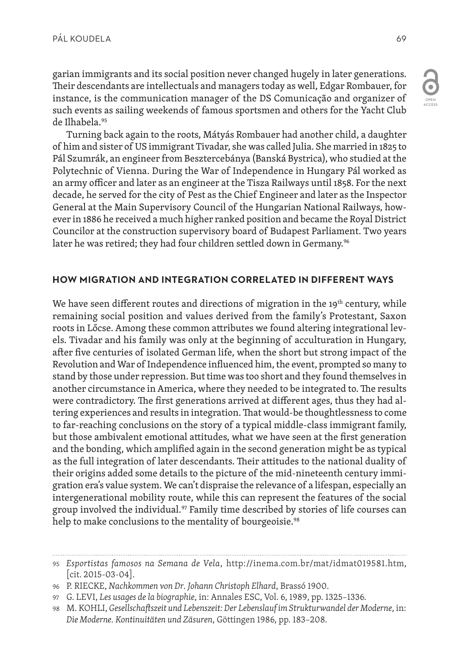garian immigrants and its social position never changed hugely in later generations. Their descendants are intellectuals and managers today as well, Edgar Rombauer, for instance, is the communication manager of the DS Comunicação and organizer of such events as sailing weekends of famous sportsmen and others for the Yacht Club de Ilhabela.95

Turning back again to the roots, Mátyás Rombauer had another child, a daughter of him and sister of US immigrant Tivadar, she was called Julia. She married in 1825 to Pál Szumrák, an engineer from Besztercebánya (Banská Bystrica), who studied at the Polytechnic of Vienna. During the War of Independence in Hungary Pál worked as an army officer and later as an engineer at the Tisza Railways until 1858. For the next decade, he served for the city of Pest as the Chief Engineer and later as the Inspector General at the Main Supervisory Council of the Hungarian National Railways, however in 1886 he received a much higher ranked position and became the Royal District Councilor at the construction supervisory board of Budapest Parliament. Two years later he was retired; they had four children settled down in Germany.<sup>96</sup>

## **HOW MIGRATION AND INTEGRATION CORRELATED IN DIFFERENT WAYS**

We have seen different routes and directions of migration in the  $19<sup>th</sup>$  century, while remaining social position and values derived from the family's Protestant, Saxon roots in Lőcse. Among these common attributes we found altering integrational levels. Tivadar and his family was only at the beginning of acculturation in Hungary, after five centuries of isolated German life, when the short but strong impact of the Revolution and War of Independence influenced him, the event, prompted so many to stand by those under repression. But time was too short and they found themselves in another circumstance in America, where they needed to be integrated to. The results were contradictory. The first generations arrived at different ages, thus they had altering experiences and results in integration. That would-be thoughtlessness to come to far-reaching conclusions on the story of a typical middle-class immigrant family, but those ambivalent emotional attitudes, what we have seen at the first generation and the bonding, which amplified again in the second generation might be as typical as the full integration of later descendants. Their attitudes to the national duality of their origins added some details to the picture of the mid-nineteenth century immigration era's value system. We can't dispraise the relevance of a lifespan, especially an intergenerational mobility route, while this can represent the features of the social group involved the individual.<sup>97</sup> Family time described by stories of life courses can help to make conclusions to the mentality of bourgeoisie.<sup>98</sup>

<sup>95</sup> *Esportistas famosos na Semana de Vela*, http://inema.com.br/mat/idmat019581.htm, [cit. 2015-03-04].

<sup>96</sup> P. RIECKE, *Nachkommen von Dr. Johann Christoph Elhard*, Brassó 1900.

<sup>97</sup> G. LEVI, *Les usages de la biographie*, in: Annales ESC, Vol. 6, 1989, pp. 1325–1336.

<sup>98</sup> M. KOHLI, *Gesellschaftszeit und Lebenszeit: Der Lebenslauf im Strukturwandel der Moderne*, in: *Die Moderne. Kontinuitäten und Zäsuren*, Göttingen 1986, pp. 183–208.